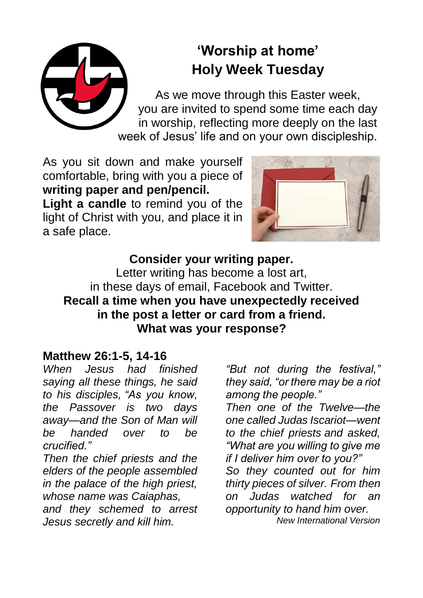# **'Worship at home' Holy Week Tuesday**

As we move through this Easter week, you are invited to spend some time each day in worship, reflecting more deeply on the last week of Jesus' life and on your own discipleship.

As you sit down and make yourself comfortable, bring with you a piece of **writing paper and pen/pencil.**

**Light a candle** to remind you of the light of Christ with you, and place it in a safe place.



#### **Consider your writing paper.**

Letter writing has become a lost art, in these days of email, Facebook and Twitter. **Recall a time when you have unexpectedly received in the post a letter or card from a friend. What was your response?**

#### **Matthew 26:1-5, 14-16**

*When Jesus had finished saying all these things, he said to his disciples, "As you know, the Passover is two days away—and the Son of Man will be handed over to be crucified."*

*Then the chief priests and the elders of the people assembled in the palace of the high priest, whose name was Caiaphas, and they schemed to arrest Jesus secretly and kill him.*

*"But not during the festival," they said, "or there may be a riot among the people."*

*Then one of the Twelve—the one called Judas Iscariot—went to the chief priests and asked, "What are you willing to give me if I deliver him over to you?"* 

*So they counted out for him thirty pieces of silver. From then on Judas watched for an opportunity to hand him over. New International Version*